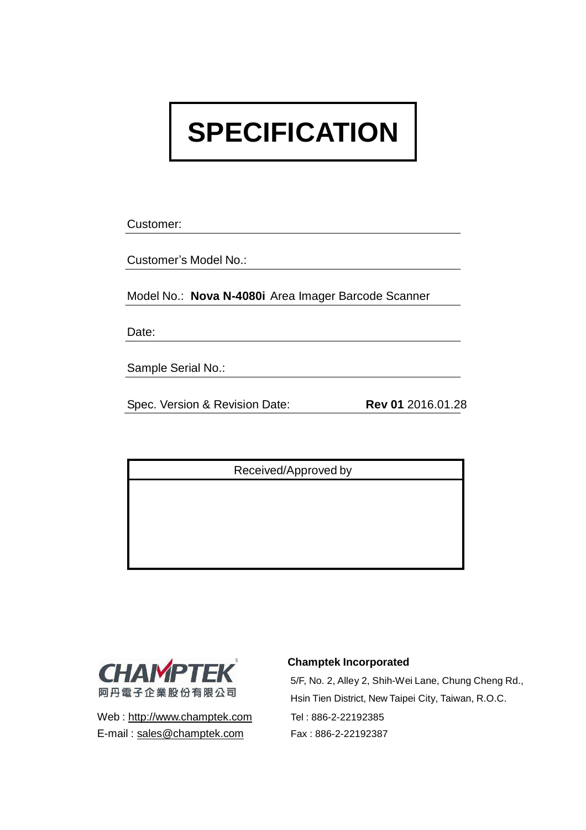# **SPECIFICATION**

Customer:

Customer's Model No.:

Model No.: **Nova N-4080i** Area Imager Barcode Scanner

Date:

Sample Serial No.:

Spec. Version & Revision Date: **Rev 01** 2016.01.28

Received/Approved by



Web : [http://www.champtek.com](http://www.champtek.com/) Tel : 886-2-22192385 E-mail: [sales@champtek.com](mailto:sales@champtek.com) Fax: 886-2-22192387

#### **Champtek Incorporated**

5/F, No. 2, Alley 2, Shih-Wei Lane, Chung Cheng Rd., Hsin Tien District, New Taipei City, Taiwan, R.O.C.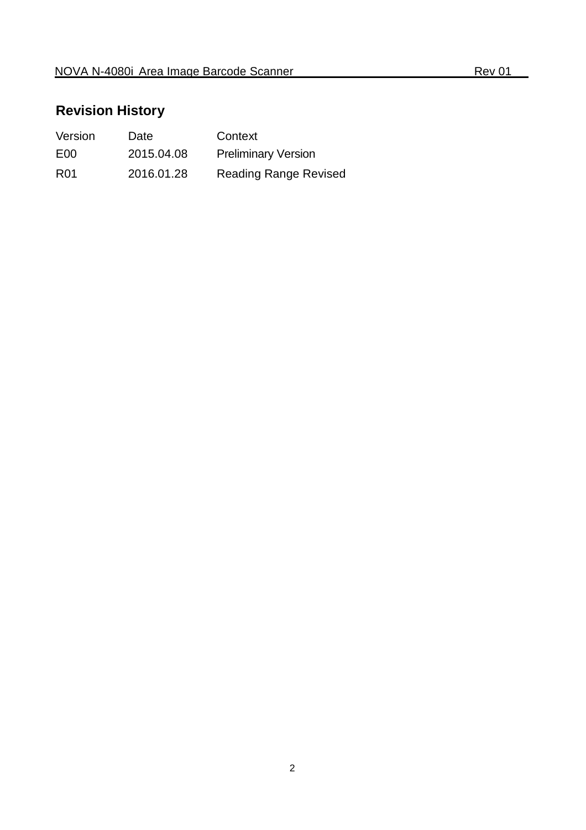### **Revision History**

| Version         | Date       | Context                      |
|-----------------|------------|------------------------------|
| E <sub>00</sub> | 2015.04.08 | <b>Preliminary Version</b>   |
| R <sub>01</sub> | 2016.01.28 | <b>Reading Range Revised</b> |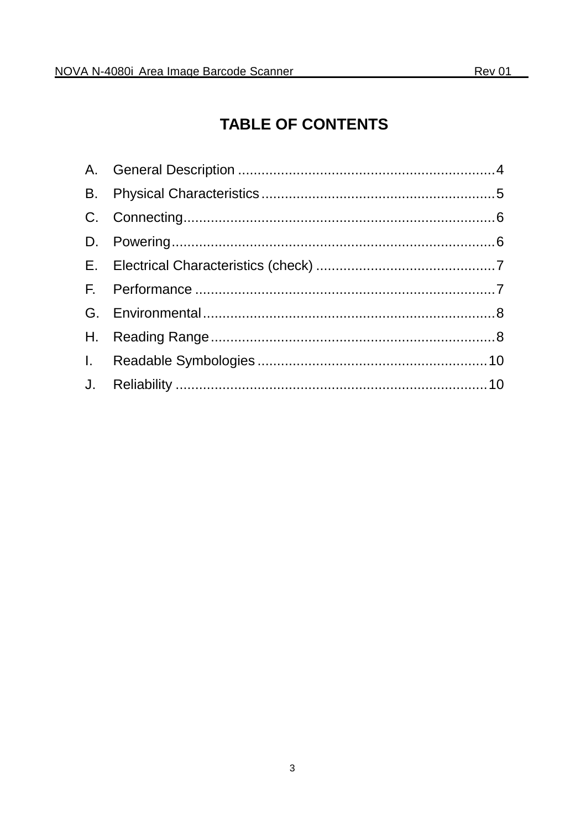## **TABLE OF CONTENTS**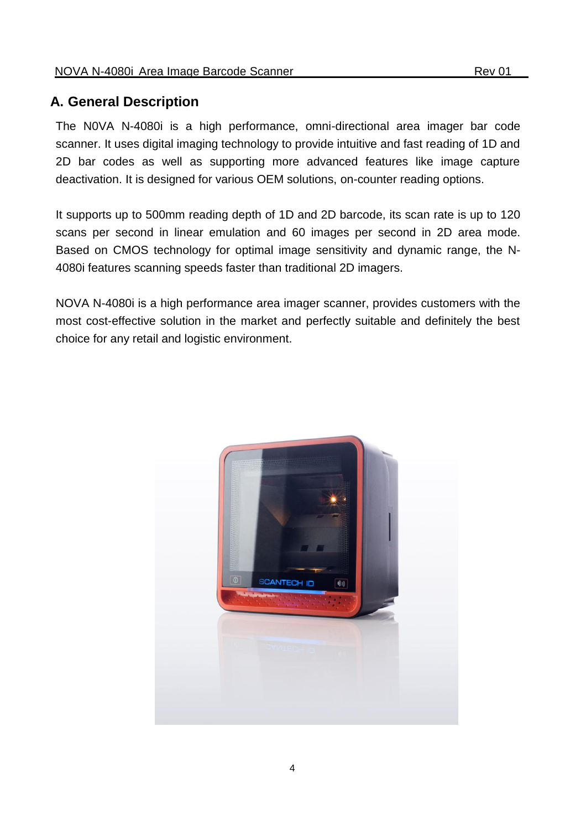### <span id="page-3-0"></span>**A. General Description**

The N0VA N-4080i is a high performance, omni-directional area imager bar code scanner. It uses digital imaging technology to provide intuitive and fast reading of 1D and 2D bar codes as well as supporting more advanced features like image capture deactivation. It is designed for various OEM solutions, on-counter reading options.

It supports up to 500mm reading depth of 1D and 2D barcode, its scan rate is up to 120 scans per second in linear emulation and 60 images per second in 2D area mode. Based on CMOS technology for optimal image sensitivity and dynamic range, the N-4080i features scanning speeds faster than traditional 2D imagers.

NOVA N-4080i is a high performance area imager scanner, provides customers with the most cost-effective solution in the market and perfectly suitable and definitely the best choice for any retail and logistic environment.

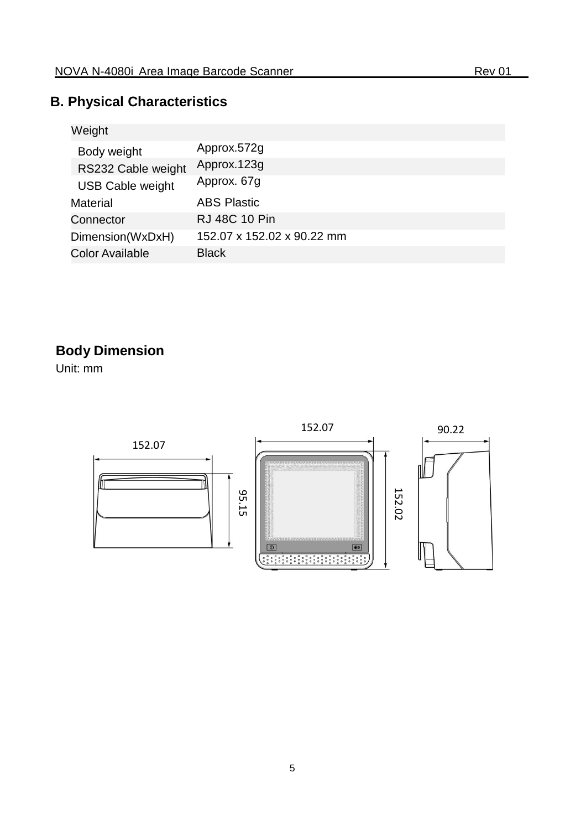### <span id="page-4-0"></span>**B. Physical Characteristics**

| Weight                  |                            |
|-------------------------|----------------------------|
| Body weight             | Approx.572g                |
| RS232 Cable weight      | Approx.123g                |
| <b>USB Cable weight</b> | Approx. 67g                |
| <b>Material</b>         | <b>ABS Plastic</b>         |
| Connector               | <b>RJ 48C 10 Pin</b>       |
| Dimension(WxDxH)        | 152.07 x 152.02 x 90.22 mm |
| <b>Color Available</b>  | <b>Black</b>               |

### **Body Dimension**

Unit: mm

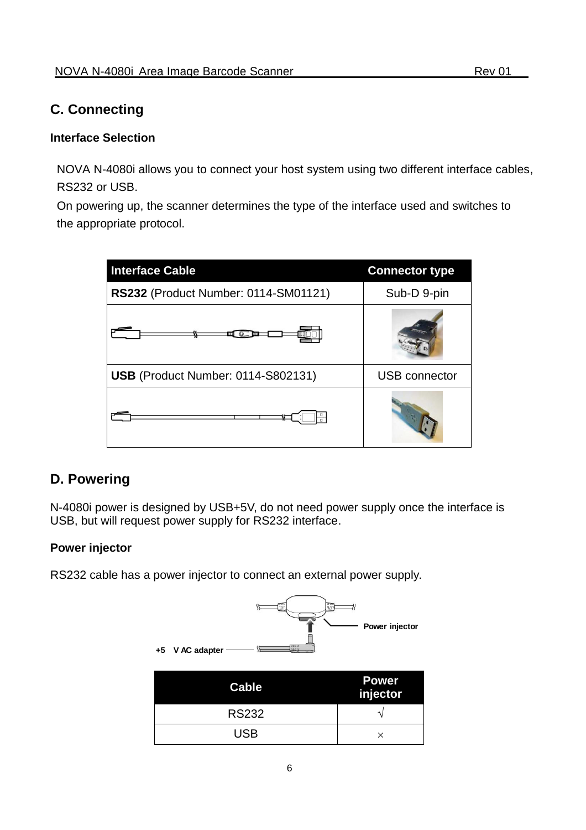### <span id="page-5-0"></span>**C. Connecting**

#### **Interface Selection**

NOVA N-4080i allows you to connect your host system using two different interface cables, RS232 or USB.

On powering up, the scanner determines the type of the interface used and switches to the appropriate protocol.

| <b>Interface Cable</b>               | <b>Connector type</b> |
|--------------------------------------|-----------------------|
| RS232 (Product Number: 0114-SM01121) | Sub-D 9-pin           |
|                                      |                       |
| USB (Product Number: 0114-S802131)   | <b>USB</b> connector  |
|                                      |                       |

### <span id="page-5-1"></span>**D. Powering**

N-4080i power is designed by USB+5V, do not need power supply once the interface is USB, but will request power supply for RS232 interface.

#### **Power injector**

RS232 cable has a power injector to connect an external power supply.

| 冊<br>uuuu<br>+5 V AC adapter | Power injector           |
|------------------------------|--------------------------|
| <b>Cable</b>                 | <b>Power</b><br>injector |
| <b>RS232</b>                 |                          |
| <b>USB</b>                   | ×                        |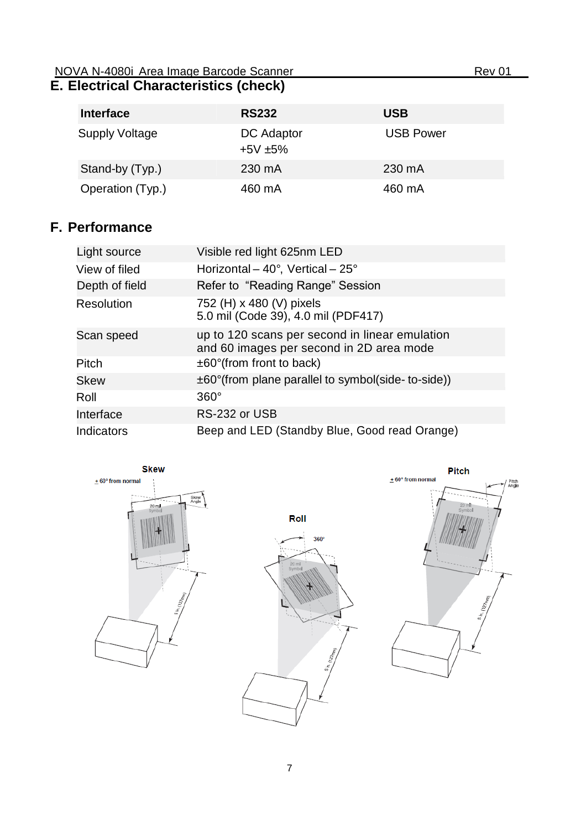#### <span id="page-6-0"></span>NOVA N-4080i Area Image Barcode Scanner Rev 01 **E. Electrical Characteristics (check)**

| <b>Interface</b>      | <b>RS232</b>            | <b>USB</b>       |
|-----------------------|-------------------------|------------------|
| <b>Supply Voltage</b> | DC Adaptor<br>$+5V +5%$ | <b>USB Power</b> |
| Stand-by (Typ.)       | 230 mA                  | 230 mA           |
| Operation (Typ.)      | 460 mA                  | 460 mA           |

### <span id="page-6-1"></span>**F. Performance**

| Light source   | Visible red light 625nm LED                                                                |
|----------------|--------------------------------------------------------------------------------------------|
| View of filed  | Horizontal – 40°, Vertical – 25°                                                           |
| Depth of field | Refer to "Reading Range" Session                                                           |
| Resolution     | 752 (H) x 480 (V) pixels<br>5.0 mil (Code 39), 4.0 mil (PDF417)                            |
| Scan speed     | up to 120 scans per second in linear emulation<br>and 60 images per second in 2D area mode |
| Pitch          | $\pm 60^\circ$ (from front to back)                                                        |
| <b>Skew</b>    | $\pm 60^{\circ}$ (from plane parallel to symbol(side-to-side))                             |
| Roll           | $360^\circ$                                                                                |
| Interface      | RS-232 or USB                                                                              |
| Indicators     | Beep and LED (Standby Blue, Good read Orange)                                              |

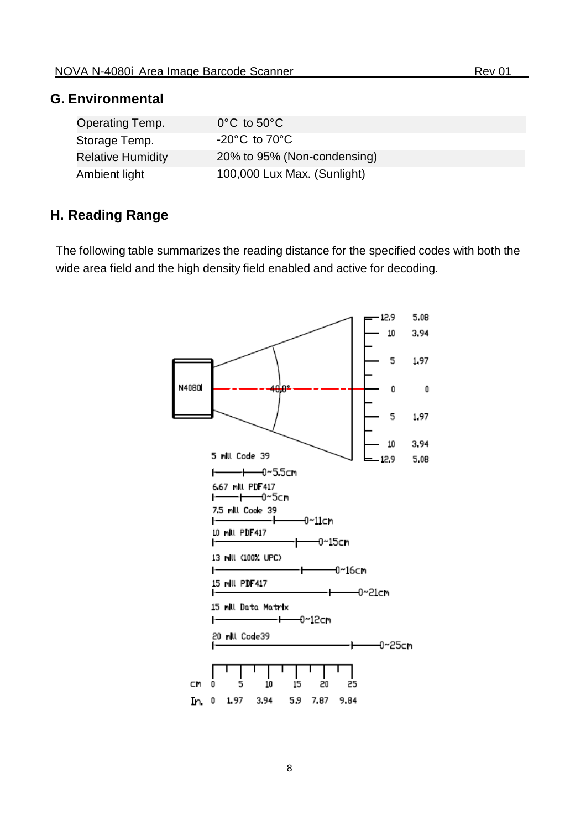#### <span id="page-7-0"></span>**G. Environmental**

| Operating Temp.          | $0^{\circ}$ C to $50^{\circ}$ C    |
|--------------------------|------------------------------------|
| Storage Temp.            | $-20^{\circ}$ C to 70 $^{\circ}$ C |
| <b>Relative Humidity</b> | 20% to 95% (Non-condensing)        |
| Ambient light            | 100,000 Lux Max. (Sunlight)        |

#### <span id="page-7-1"></span>**H. Reading Range**

The following table summarizes the reading distance for the specified codes with both the wide area field and the high density field enabled and active for decoding.

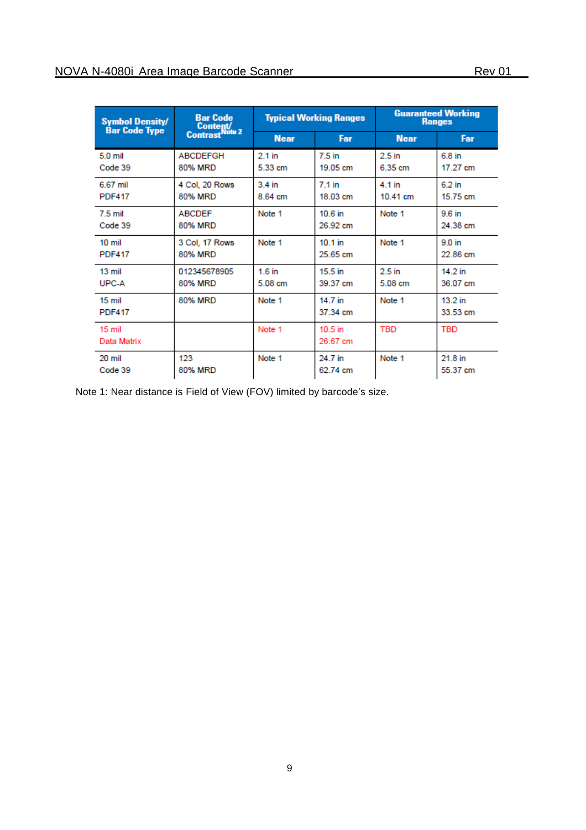| <b>Symbol Density/</b><br><b>Bar Code Type</b> | <b>Bar Code</b><br>Content/<br>Contrast <sup>Note</sup> 2 | <b>Typical Working Ranges</b> |                       | <b>Guaranteed Working</b><br><b>Ranges</b> |                       |
|------------------------------------------------|-----------------------------------------------------------|-------------------------------|-----------------------|--------------------------------------------|-----------------------|
|                                                |                                                           | <b>Near</b>                   | Far                   | <b>Near</b>                                | Far                   |
| 5.0 mil<br>Code 39                             | <b>ABCDEFGH</b><br>80% MRD                                | $2.1$ in<br>5.33 cm           | 7.5 in<br>19.05 cm    | 2.5 <sub>in</sub><br>6.35 cm               | 6.8 in<br>17.27 cm    |
| 6.67 mil<br><b>PDF417</b>                      | 4 Col. 20 Rows<br>80% MRD                                 | 3.4 in<br>8.64 cm             | 7.1 in<br>18.03 cm    | 4 1 in<br>10.41 cm                         | 6.2 in<br>15.75 cm    |
| 7.5 mil<br>Code 39                             | <b>ABCDEF</b><br>80% MRD                                  | Note 1                        | 10.6 in<br>26.92 cm   | Note 1                                     | 9.6 in<br>24.38 cm    |
| 10 <sub>mi</sub><br><b>PDF417</b>              | 3 Col, 17 Rows<br>80% MRD                                 | Note 1                        | $10.1$ in<br>25.65 cm | Note 1                                     | 9.0 in<br>22.86 cm    |
| $13 \text{ mil}$<br>UPC-A                      | 012345678905<br>80% MRD                                   | 16 in<br>5.08 cm              | $15.5$ in<br>39.37 cm | 2.5 <sub>in</sub><br>5.08 cm               | $14.2$ in<br>36.07 cm |
| 15 <sub>mi</sub><br><b>PDF417</b>              | 80% MRD                                                   | Note 1                        | 14.7 in<br>37.34 cm   | Note 1                                     | $13.2$ in<br>33.53 cm |
| 15 <sub>mi</sub><br>Data Matrix                |                                                           | Note 1                        | $10.5$ in<br>26.67 cm | <b>TBD</b>                                 | <b>TBD</b>            |
| 20 mil<br>Code 39                              | 123<br>80% MRD                                            | Note 1                        | 24 7 in<br>62.74 cm   | Note 1                                     | 21.8 in<br>55.37 cm   |

Note 1: Near distance is Field of View (FOV) limited by barcode's size.